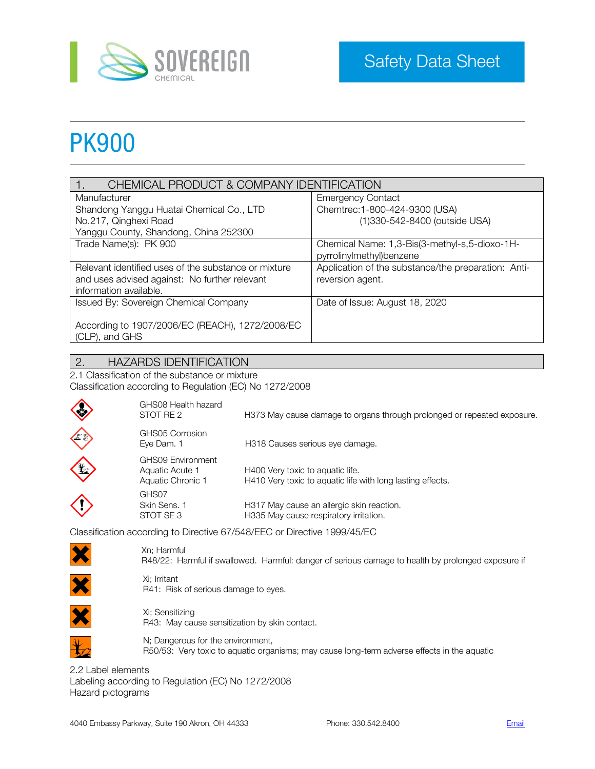

# PK900

| CHEMICAL PRODUCT & COMPANY IDENTIFICATION            |                                                     |  |
|------------------------------------------------------|-----------------------------------------------------|--|
| Manufacturer                                         | <b>Emergency Contact</b>                            |  |
| Shandong Yanggu Huatai Chemical Co., LTD             | Chemtrec: 1-800-424-9300 (USA)                      |  |
| No.217, Qinghexi Road                                | (1)330-542-8400 (outside USA)                       |  |
| Yanggu County, Shandong, China 252300                |                                                     |  |
| Trade Name(s): PK 900                                | Chemical Name: 1,3-Bis(3-methyl-s,5-dioxo-1H-       |  |
|                                                      | pyrrolinylmethyl)benzene                            |  |
| Relevant identified uses of the substance or mixture | Application of the substance/the preparation: Anti- |  |
| and uses advised against: No further relevant        | reversion agent.                                    |  |
| information available.                               |                                                     |  |
| Issued By: Sovereign Chemical Company                | Date of Issue: August 18, 2020                      |  |
|                                                      |                                                     |  |
| According to 1907/2006/EC (REACH), 1272/2008/EC      |                                                     |  |
| (CLP), and GHS                                       |                                                     |  |

## 2. HAZARDS IDENTIFICATION

2.1 Classification of the substance or mixture Classification according to Regulation (EC) No 1272/2008

| GHS08 Health hazard<br>STOT RE 2                          | H373 May cause damage to organs through prolonged or repeated exposure.                        |
|-----------------------------------------------------------|------------------------------------------------------------------------------------------------|
| GHS05 Corrosion<br>Eye Dam. 1                             | H318 Causes serious eye damage.                                                                |
| GHS09 Environment<br>Aquatic Acute 1<br>Aquatic Chronic 1 | H400 Very toxic to aquatic life.<br>H410 Very toxic to aquatic life with long lasting effects. |
| GHS07<br>Skin Sens, 1<br>STOT SE 3                        | H317 May cause an allergic skin reaction.<br>H335 May cause respiratory irritation.            |

Classification according to Directive 67/548/EEC or Directive 1999/45/EC



**CONSTRUCTION** 

Xn; Harmful R48/22: Harmful if swallowed. Harmful: danger of serious damage to health by prolonged exposure if



Xi; Irritant R41: Risk of serious damage to eyes.



Xi; Sensitizing R43: May cause sensitization by skin contact.



N; Dangerous for the environment, R50/53: Very toxic to aquatic organisms; may cause long-term adverse effects in the aquatic

2.2 Label elements Labeling according to Regulation (EC) No 1272/2008 Hazard pictograms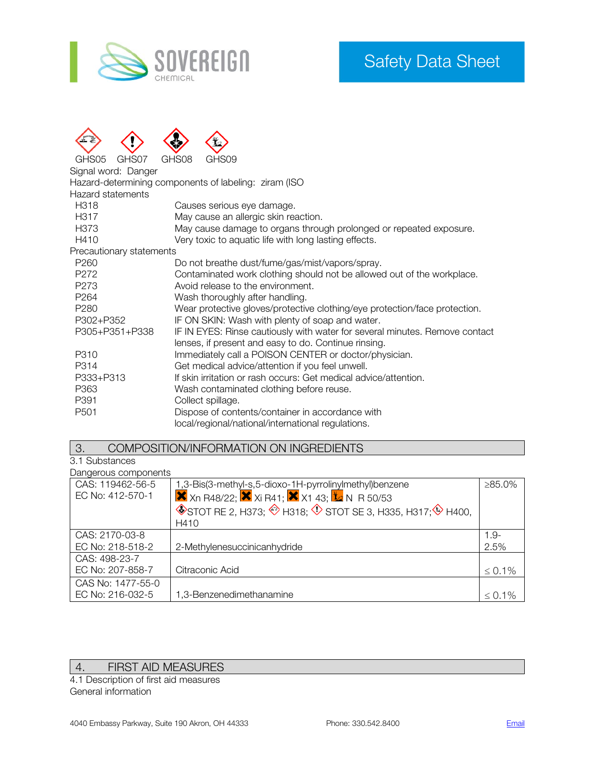



GHS05 GHS07 GHS08 GHS09

Signal word: Danger

Hazard-determining components of labeling: ziram (ISO

Hazard statements

| Hazaru statements        |                                                                             |
|--------------------------|-----------------------------------------------------------------------------|
| H <sub>3</sub> 18        | Causes serious eye damage.                                                  |
| H <sub>3</sub> 17        | May cause an allergic skin reaction.                                        |
| H <sub>373</sub>         | May cause damage to organs through prolonged or repeated exposure.          |
| H410                     | Very toxic to aquatic life with long lasting effects.                       |
| Precautionary statements |                                                                             |
| P <sub>260</sub>         | Do not breathe dust/fume/gas/mist/vapors/spray.                             |
| P <sub>272</sub>         | Contaminated work clothing should not be allowed out of the workplace.      |
| P273                     | Avoid release to the environment.                                           |
| P <sub>264</sub>         | Wash thoroughly after handling.                                             |
| P <sub>280</sub>         | Wear protective gloves/protective clothing/eye protection/face protection.  |
| P302+P352                | IF ON SKIN: Wash with plenty of soap and water.                             |
| P305+P351+P338           | IF IN EYES: Rinse cautiously with water for several minutes. Remove contact |
|                          | lenses, if present and easy to do. Continue rinsing.                        |
| P310                     | Immediately call a POISON CENTER or doctor/physician.                       |
| P314                     | Get medical advice/attention if you feel unwell.                            |
| P333+P313                | If skin irritation or rash occurs: Get medical advice/attention.            |
| P363                     | Wash contaminated clothing before reuse.                                    |
| P391                     | Collect spillage.                                                           |
| P <sub>501</sub>         | Dispose of contents/container in accordance with                            |
|                          | local/regional/national/international regulations.                          |

#### 3. COMPOSITION/INFORMATION ON INGREDIENTS

3.1 Substances Dangerous components

| Darigerous corriporients |                                                                                                                |              |  |  |
|--------------------------|----------------------------------------------------------------------------------------------------------------|--------------|--|--|
| CAS: 119462-56-5         | 1,3-Bis(3-methyl-s,5-dioxo-1H-pyrrolinylmethyl)benzene                                                         | ≥85.0%       |  |  |
| EC No: 412-570-1         | <b>X</b> Xn R48/22; $\overline{\text{X}}$ Xi R41; $\overline{\text{X}}$ X1 43; $\overline{\text{X}}$ N R 50/53 |              |  |  |
|                          | $\circledast$ STOT RE 2, H373; $\circledast$ H318; $\circledast$ STOT SE 3, H335, H317; $\circledast$ H400,    |              |  |  |
|                          | H410                                                                                                           |              |  |  |
| CAS: 2170-03-8           |                                                                                                                | $1.9 -$      |  |  |
| EC No: 218-518-2         | 2-Methylenesuccinicanhydride                                                                                   | 2.5%         |  |  |
| CAS: 498-23-7            |                                                                                                                |              |  |  |
| EC No: 207-858-7         | Citraconic Acid                                                                                                | $\leq 0.1\%$ |  |  |
| CAS No: 1477-55-0        |                                                                                                                |              |  |  |
| EC No: 216-032-5         | 1,3-Benzenedimethanamine                                                                                       | $\leq 0.1\%$ |  |  |

# 4. FIRST AID MEASURES

4.1 Description of first aid measures General information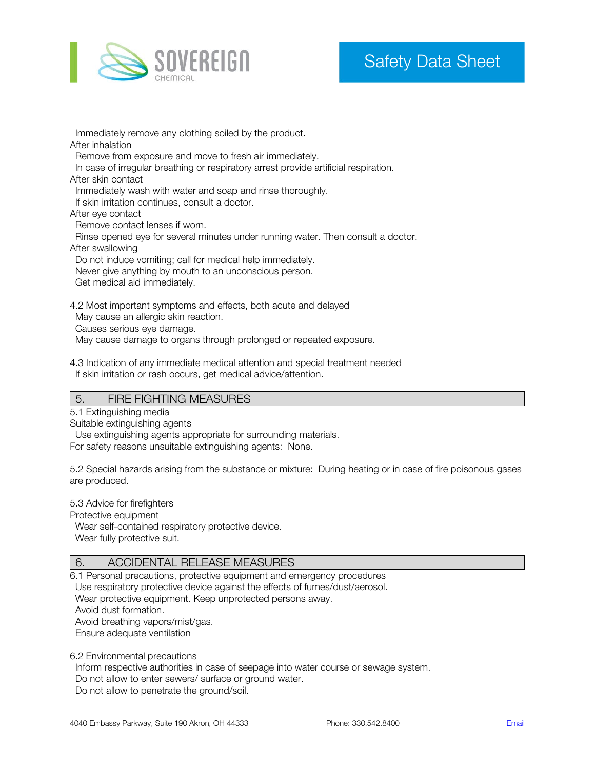

 Immediately remove any clothing soiled by the product. After inhalation Remove from exposure and move to fresh air immediately. In case of irregular breathing or respiratory arrest provide artificial respiration. After skin contact Immediately wash with water and soap and rinse thoroughly. If skin irritation continues, consult a doctor. After eye contact Remove contact lenses if worn. Rinse opened eye for several minutes under running water. Then consult a doctor. After swallowing Do not induce vomiting; call for medical help immediately. Never give anything by mouth to an unconscious person. Get medical aid immediately. 4.2 Most important symptoms and effects, both acute and delayed May cause an allergic skin reaction.

Causes serious eye damage.

May cause damage to organs through prolonged or repeated exposure.

4.3 Indication of any immediate medical attention and special treatment needed If skin irritation or rash occurs, get medical advice/attention.

#### 5. FIRE FIGHTING MEASURES

5.1 Extinguishing media

Suitable extinguishing agents

 Use extinguishing agents appropriate for surrounding materials. For safety reasons unsuitable extinguishing agents: None.

5.2 Special hazards arising from the substance or mixture: During heating or in case of fire poisonous gases are produced.

5.3 Advice for firefighters

Protective equipment

 Wear self-contained respiratory protective device. Wear fully protective suit.

## 6. ACCIDENTAL RELEASE MEASURES

6.1 Personal precautions, protective equipment and emergency procedures Use respiratory protective device against the effects of fumes/dust/aerosol. Wear protective equipment. Keep unprotected persons away. Avoid dust formation. Avoid breathing vapors/mist/gas. Ensure adequate ventilation

6.2 Environmental precautions

Inform respective authorities in case of seepage into water course or sewage system.

Do not allow to enter sewers/ surface or ground water.

Do not allow to penetrate the ground/soil.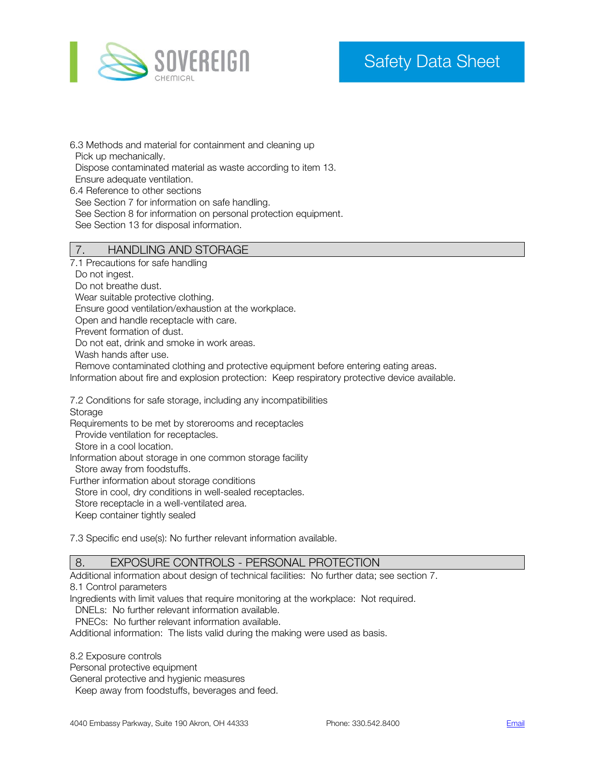

6.3 Methods and material for containment and cleaning up Pick up mechanically. Dispose contaminated material as waste according to item 13. Ensure adequate ventilation. 6.4 Reference to other sections See Section 7 for information on safe handling. See Section 8 for information on personal protection equipment.

See Section 13 for disposal information.

#### 7. HANDLING AND STORAGE

7.1 Precautions for safe handling

Do not ingest.

Do not breathe dust.

Wear suitable protective clothing.

Ensure good ventilation/exhaustion at the workplace.

Open and handle receptacle with care.

Prevent formation of dust.

Do not eat, drink and smoke in work areas.

Wash hands after use.

Remove contaminated clothing and protective equipment before entering eating areas.

Information about fire and explosion protection: Keep respiratory protective device available.

7.2 Conditions for safe storage, including any incompatibilities Storage

Requirements to be met by storerooms and receptacles

Provide ventilation for receptacles.

Store in a cool location.

Information about storage in one common storage facility

Store away from foodstuffs.

Further information about storage conditions

Store in cool, dry conditions in well-sealed receptacles.

Store receptacle in a well-ventilated area.

Keep container tightly sealed

7.3 Specific end use(s): No further relevant information available.

#### 8. EXPOSURE CONTROLS - PERSONAL PROTECTION

Additional information about design of technical facilities: No further data; see section 7.

8.1 Control parameters

Ingredients with limit values that require monitoring at the workplace: Not required.

DNELs: No further relevant information available.

PNECs: No further relevant information available.

Additional information: The lists valid during the making were used as basis.

8.2 Exposure controls

Personal protective equipment

General protective and hygienic measures

Keep away from foodstuffs, beverages and feed.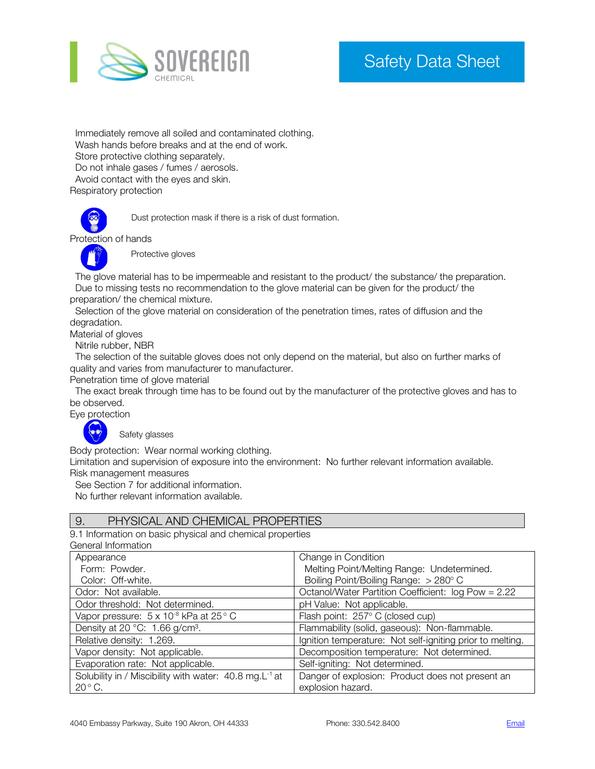

 Immediately remove all soiled and contaminated clothing. Wash hands before breaks and at the end of work. Store protective clothing separately. Do not inhale gases / fumes / aerosols. Avoid contact with the eyes and skin. Respiratory protection



Dust protection mask if there is a risk of dust formation.

Protection of hands



Protective gloves

 The glove material has to be impermeable and resistant to the product/ the substance/ the preparation. Due to missing tests no recommendation to the glove material can be given for the product/ the preparation/ the chemical mixture.

 Selection of the glove material on consideration of the penetration times, rates of diffusion and the degradation.

Material of gloves

Nitrile rubber, NBR

 The selection of the suitable gloves does not only depend on the material, but also on further marks of quality and varies from manufacturer to manufacturer.

Penetration time of glove material

 The exact break through time has to be found out by the manufacturer of the protective gloves and has to be observed.

Eye protection

Safety glasses

Body protection: Wear normal working clothing.

Limitation and supervision of exposure into the environment: No further relevant information available. Risk management measures

See Section 7 for additional information.

No further relevant information available.

#### 9. PHYSICAL AND CHEMICAL PROPERTIES

9.1 Information on basic physical and chemical properties

General Information

| Appearance                                                         | Change in Condition                                       |
|--------------------------------------------------------------------|-----------------------------------------------------------|
| Form: Powder.                                                      | Melting Point/Melting Range: Undetermined.                |
| Color: Off-white.                                                  | Boiling Point/Boiling Range: > 280° C                     |
| Odor: Not available.                                               | Octanol/Water Partition Coefficient: log Pow = 2.22       |
| Odor threshold: Not determined.                                    | pH Value: Not applicable.                                 |
| Vapor pressure: $5 \times 10^{-8}$ kPa at $25^{\circ}$ C           | Flash point: 257° C (closed cup)                          |
| Density at 20 $^{\circ}$ C: 1.66 g/cm <sup>3</sup> .               | Flammability (solid, gaseous): Non-flammable.             |
| Relative density: 1.269.                                           | Ignition temperature: Not self-igniting prior to melting. |
| Vapor density: Not applicable.                                     | Decomposition temperature: Not determined.                |
| Evaporation rate: Not applicable.                                  | Self-igniting: Not determined.                            |
| Solubility in / Miscibility with water: 40.8 mg.L <sup>-1</sup> at | Danger of explosion: Product does not present an          |
| $20^{\circ}$ C.                                                    | explosion hazard.                                         |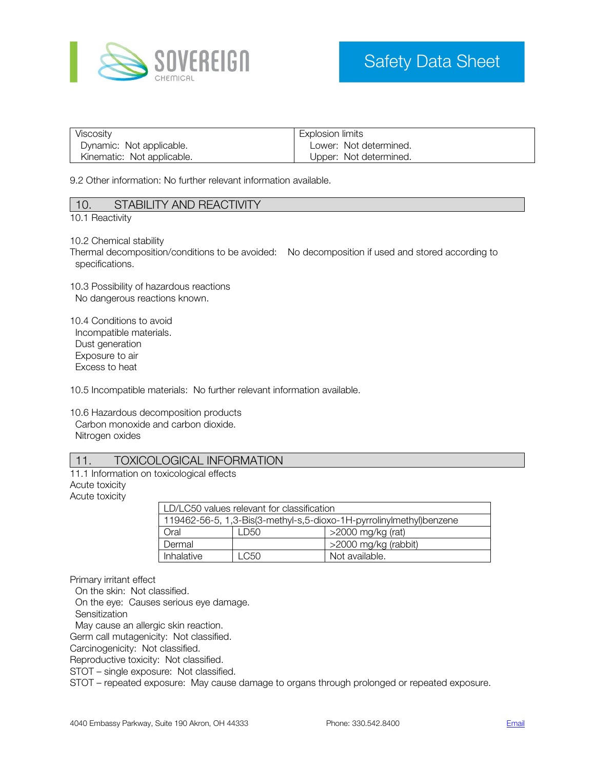

| Viscosity                  | Explosion limits       |
|----------------------------|------------------------|
| Dynamic: Not applicable.   | Lower: Not determined. |
| Kinematic: Not applicable. | Upper: Not determined. |

9.2 Other information: No further relevant information available.

| 10. | STABILITY AND REACTIVITY |
|-----|--------------------------|
|     |                          |

10.1 Reactivity

10.2 Chemical stability

Thermal decomposition/conditions to be avoided: No decomposition if used and stored according to specifications.

10.3 Possibility of hazardous reactions No dangerous reactions known.

10.4 Conditions to avoid Incompatible materials. Dust generation Exposure to air Excess to heat

10.5 Incompatible materials: No further relevant information available.

10.6 Hazardous decomposition products Carbon monoxide and carbon dioxide. Nitrogen oxides

#### 11. TOXICOLOGICAL INFORMATION

11.1 Information on toxicological effects Acute toxicity Acute toxicity

| LD/LC50 values relevant for classification                          |                             |  |  |  |
|---------------------------------------------------------------------|-----------------------------|--|--|--|
| 119462-56-5, 1,3-Bis(3-methyl-s,5-dioxo-1H-pyrrolinylmethyl)benzene |                             |  |  |  |
| Oral                                                                | >2000 mg/kg (rat)<br>I D50. |  |  |  |
| >2000 mg/kg (rabbit)<br>Dermal                                      |                             |  |  |  |
| Inhalative<br>Not available.<br>LC50                                |                             |  |  |  |

Primary irritant effect

On the skin: Not classified.

On the eye: Causes serious eye damage.

**Sensitization** 

May cause an allergic skin reaction.

Germ call mutagenicity: Not classified.

Carcinogenicity: Not classified.

Reproductive toxicity: Not classified.

STOT – single exposure: Not classified.

STOT – repeated exposure: May cause damage to organs through prolonged or repeated exposure.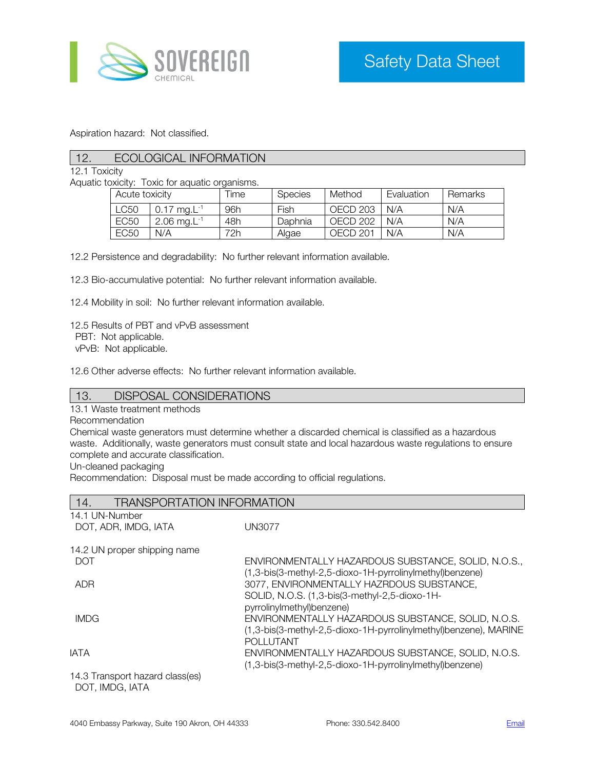

Aspiration hazard: Not classified.

## 12. ECOLOGICAL INFORMATION

12.1 Toxicity

Aquatic toxicity: Toxic for aquatic organisms.

| Acute toxicity   |                            | Time | <b>Species</b> | Method   | Evaluation | Remarks |
|------------------|----------------------------|------|----------------|----------|------------|---------|
| LC50             | $0.17$ ma. L <sup>-1</sup> | 96h  | Fish           | OECD 203 | N/A        | N/A     |
| <b>EC50</b>      | $2.06 \text{ ma.L}^{-1}$   | 48h  | Daphnia        | OECD 202 | N/A        | N/A     |
| EC <sub>50</sub> | N/A                        | 72h. | Algae          | OECD 201 | N/A        | N/A     |

12.2 Persistence and degradability: No further relevant information available.

12.3 Bio-accumulative potential: No further relevant information available.

12.4 Mobility in soil: No further relevant information available.

12.5 Results of PBT and vPvB assessment

PBT: Not applicable.

vPvB: Not applicable.

12.6 Other adverse effects: No further relevant information available.

#### 13. DISPOSAL CONSIDERATIONS

13.1 Waste treatment methods

Recommendation

Chemical waste generators must determine whether a discarded chemical is classified as a hazardous waste. Additionally, waste generators must consult state and local hazardous waste regulations to ensure complete and accurate classification.

Un-cleaned packaging

Recommendation: Disposal must be made according to official regulations.

| <b>TRANSPORTATION INFORMATION</b><br>14.         |                                                                                                                                            |
|--------------------------------------------------|--------------------------------------------------------------------------------------------------------------------------------------------|
| 14.1 UN-Number                                   |                                                                                                                                            |
| DOT, ADR, IMDG, IATA                             | <b>UN3077</b>                                                                                                                              |
| 14.2 UN proper shipping name                     |                                                                                                                                            |
| <b>DOT</b>                                       | ENVIRONMENTALLY HAZARDOUS SUBSTANCE, SOLID, N.O.S.,<br>(1,3-bis(3-methyl-2,5-dioxo-1H-pyrrolinylmethyl)benzene)                            |
| ADR                                              | 3077, ENVIRONMENTALLY HAZRDOUS SUBSTANCE,<br>SOLID, N.O.S. (1,3-bis(3-methyl-2,5-dioxo-1H-<br>pyrrolinylmethyl)benzene)                    |
| <b>IMDG</b>                                      | ENVIRONMENTALLY HAZARDOUS SUBSTANCE, SOLID, N.O.S.<br>(1,3-bis(3-methyl-2,5-dioxo-1H-pyrrolinylmethyl)benzene), MARINE<br><b>POLLUTANT</b> |
| <b>IATA</b>                                      | ENVIRONMENTALLY HAZARDOUS SUBSTANCE, SOLID, N.O.S.<br>(1,3-bis(3-methyl-2,5-dioxo-1H-pyrrolinylmethyl)benzene)                             |
| 14.3 Transport hazard class(es)<br>DOT IMDO IATA |                                                                                                                                            |

DOT, IMDG, IATA